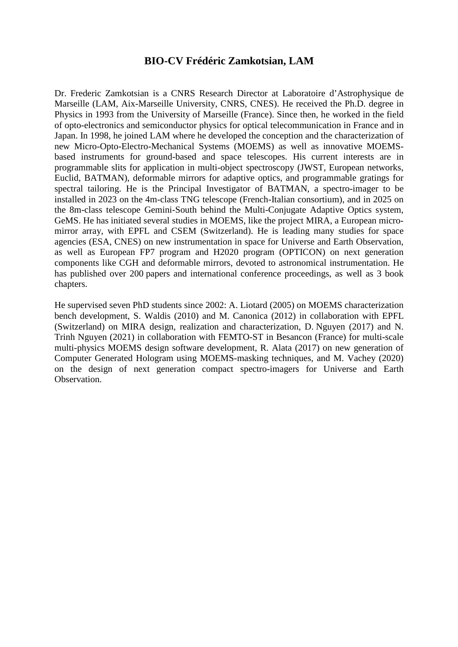## **BIO-CV Frédéric Zamkotsian, LAM**

Dr. Frederic Zamkotsian is a CNRS Research Director at Laboratoire d'Astrophysique de Marseille (LAM, Aix-Marseille University, CNRS, CNES). He received the Ph.D. degree in Physics in 1993 from the University of Marseille (France). Since then, he worked in the field of opto-electronics and semiconductor physics for optical telecommunication in France and in Japan. In 1998, he joined LAM where he developed the conception and the characterization of new Micro-Opto-Electro-Mechanical Systems (MOEMS) as well as innovative MOEMSbased instruments for ground-based and space telescopes. His current interests are in programmable slits for application in multi-object spectroscopy (JWST, European networks, Euclid, BATMAN), deformable mirrors for adaptive optics, and programmable gratings for spectral tailoring. He is the Principal Investigator of BATMAN, a spectro-imager to be installed in 2023 on the 4m-class TNG telescope (French-Italian consortium), and in 2025 on the 8m-class telescope Gemini-South behind the Multi-Conjugate Adaptive Optics system, GeMS. He has initiated several studies in MOEMS, like the project MIRA, a European micromirror array, with EPFL and CSEM (Switzerland). He is leading many studies for space agencies (ESA, CNES) on new instrumentation in space for Universe and Earth Observation, as well as European FP7 program and H2020 program (OPTICON) on next generation components like CGH and deformable mirrors, devoted to astronomical instrumentation. He has published over 200 papers and international conference proceedings, as well as 3 book chapters.

He supervised seven PhD students since 2002: A. Liotard (2005) on MOEMS characterization bench development, S. Waldis (2010) and M. Canonica (2012) in collaboration with EPFL (Switzerland) on MIRA design, realization and characterization, D. Nguyen (2017) and N. Trinh Nguyen (2021) in collaboration with FEMTO-ST in Besancon (France) for multi-scale multi-physics MOEMS design software development, R. Alata (2017) on new generation of Computer Generated Hologram using MOEMS-masking techniques, and M. Vachey (2020) on the design of next generation compact spectro-imagers for Universe and Earth Observation.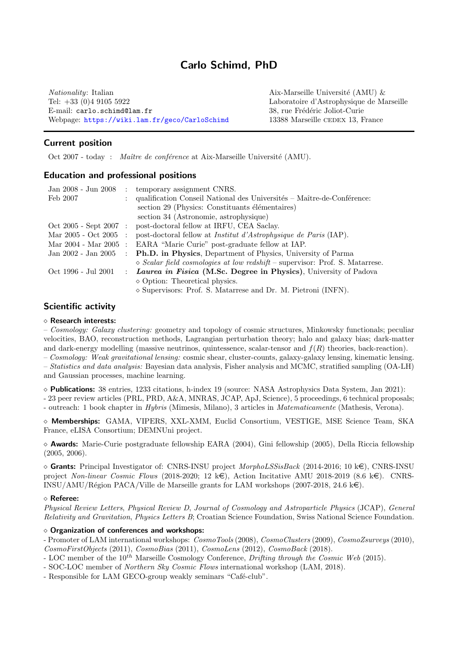# Carlo Schimd, PhD

 $Nationality: Italian$   $Aix-Marseille University (AMU)$  & Tel: +33 (0)4 9105 5922 Laboratoire d'Astrophysique de Marseille E-mail: carlo.schimd@lam.fr 38, rue Frédéric Joliot-Curie Webpage: <https://wiki.lam.fr/geco/CarloSchimd> 13388 Marseille CEDEX 13, France

Current position

Oct 2007 - today : Maître de conférence at Aix-Marseille Université (AMU).

### Education and professional positions

| Jan 2008 - Jun 2008      | $\mathcal{L}$ | temporary assignment CNRS.                                                            |
|--------------------------|---------------|---------------------------------------------------------------------------------------|
| Feb 2007                 |               | qualification Conseil National des Universités – Maître-de-Conférence:                |
|                          |               | section 29 (Physics: Constituants élémentaires)                                       |
|                          |               | section 34 (Astronomie, astrophysique)                                                |
| $Oct 2005 - Sept 2007 :$ |               | post-doctoral fellow at IRFU, CEA Saclay.                                             |
| Mar 2005 - Oct 2005      |               | post-doctoral fellow at <i>Institut d'Astrophysique de Paris</i> (IAP).               |
| Mar 2004 - Mar 2005      | $\cdot$ :     | EARA "Marie Curie" post-graduate fellow at IAP.                                       |
| Jan 2002 - Jan 2005      |               | <b>Ph.D.</b> in Physics, Department of Physics, University of Parma                   |
|                          |               | $\Diamond$ Scalar field cosmologies at low redshift – supervisor: Prof. S. Matarrese. |
| Oct 1996 - Jul 2001      |               | : Laurea in Fisica (M.S.c. Degree in Physics), University of Padova                   |
|                          |               | $\diamond$ Option: Theoretical physics.                                               |
|                          |               | $\diamond$ Supervisors: Prof. S. Matarrese and Dr. M. Pietroni (INFN).                |

## Scientific activity

#### Research interests:

– Cosmology: Galaxy clustering: geometry and topology of cosmic structures, Minkowsky functionals; peculiar velocities, BAO, reconstruction methods, Lagrangian perturbation theory; halo and galaxy bias; dark-matter and dark-energy modelling (massive neutrinos, quintessence, scalar-tensor and  $f(R)$  theories, back-reaction).

– Cosmology: Weak gravitational lensing: cosmic shear, cluster-counts, galaxy-galaxy lensing, kinematic lensing. – Statistics and data analysis: Bayesian data analysis, Fisher analysis and MCMC, stratified sampling (OA-LH) and Gaussian processes, machine learning.

 $\circ$  **Publications:** 38 entries, 1233 citations, h-index 19 (source: NASA Astrophysics Data System, Jan 2021):

- 23 peer review articles (PRL, PRD, A&A, MNRAS, JCAP, ApJ, Science), 5 proceedings, 6 technical proposals; - outreach: 1 book chapter in Hybris (Mimesis, Milano), 3 articles in Matematicamente (Mathesis, Verona).

 $\diamond$  Memberships: GAMA, VIPERS, XXL-XMM, Euclid Consortium, VESTIGE, MSE Science Team, SKA France, eLISA Consortium; DEMNUni project.

 $\Diamond$  **Awards:** Marie-Curie postgraduate fellowship EARA (2004), Gini fellowship (2005), Della Riccia fellowship (2005, 2006).

 $\circ$  Grants: Principal Investigator of: CNRS-INSU project MorphoLSSisBack (2014-2016; 10 k $\in$ ), CNRS-INSU project Non-linear Cosmic Flows (2018-2020; 12 k $\in$ ), Action Incitative AMU 2018-2019 (8.6 k $\in$ ). CNRS-INSU/AMU/Région PACA/Ville de Marseille grants for LAM workshops (2007-2018, 24.6  $k\in$ ).

#### Referee:

Physical Review Letters, Physical Review D, Journal of Cosmology and Astroparticle Physics (JCAP), General Relativity and Gravitation, Physics Letters B; Croatian Science Foundation, Swiss National Science Foundation.

#### $\diamond$  Organization of conferences and workshops:

- Promoter of LAM international workshops:  $CosmoTools(2008)$ ,  $CosmoClusters(2009)$ ,  $CosmoZsurveys(2010)$ , CosmoFirstObjects (2011), CosmoBias (2011), CosmoLens (2012), CosmoBack (2018).

- LOC member of the  $10^{th}$  Marseille Cosmology Conference, *Drifting through the Cosmic Web* (2015).
- SOC-LOC member of Northern Sky Cosmic Flows international workshop (LAM, 2018).

- Responsible for LAM GECO-group weakly seminars "Café-club".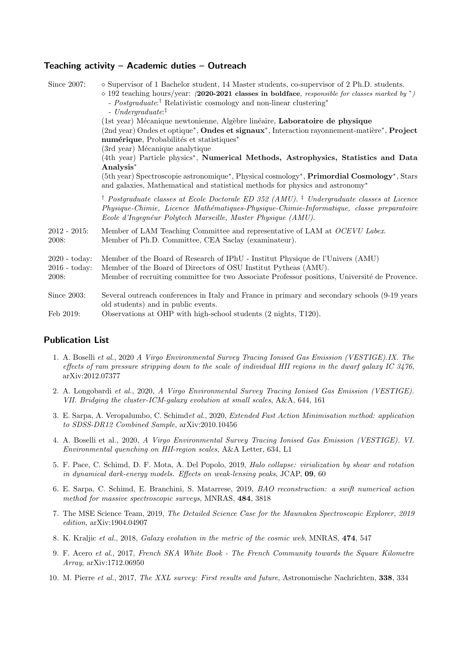## Teaching activity – Academic duties – Outreach

| Since 2007:                                               | $\diamond$ Supervisor of 1 Bachelor student, 14 Master students, co-supervisor of 2 Ph.D. students.<br>$\Diamond$ 192 teaching hours/year: (2020-2021 classes in boldface, responsible for classes marked by *)<br>- <i>Postgraduate</i> : <sup>†</sup> Relativistic cosmology and non-linear clustering*<br>$-$ Undergraduate: <sup>‡</sup> |
|-----------------------------------------------------------|----------------------------------------------------------------------------------------------------------------------------------------------------------------------------------------------------------------------------------------------------------------------------------------------------------------------------------------------|
|                                                           | (1st year) Mécanique newtonienne, Algèbre linéaire, Laboratoire de physique<br>(2nd year) Ondes et optique*, Ondes et signaux*, Interaction rayonnement-matière*, Project<br>numérique, Probabilités et statistiques*                                                                                                                        |
|                                                           | (3rd year) Mécanique analytique<br>(4th year) Particle physics*, Numerical Methods, Astrophysics, Statistics and Data<br>Analysis*                                                                                                                                                                                                           |
|                                                           | (5th year) Spectroscopie astronomique*, Physical cosmology*, Primordial Cosmology*, Stars<br>and galaxies, Mathematical and statistical methods for physics and astronomy*                                                                                                                                                                   |
|                                                           | <sup>†</sup> Postgraduate classes at Ecole Doctorale ED 352 (AMU). <sup>‡</sup> Undergraduate classes at Licence<br>Physique-Chimie, Licence Mathématiques-Physique-Chimie-Informatique, classe preparatoire<br>Ecole d'Ingegnéur Polytech Marseille, Master Physique (AMU).                                                                 |
| $2012 - 2015$ :<br>2008:                                  | Member of LAM Teaching Committee and representative of LAM at <i>OCEVU Labex</i> .<br>Member of Ph.D. Committee, CEA Saclay (examinateur).                                                                                                                                                                                                   |
| $2020 - \text{today}:$<br>$2016 - \text{today}:$<br>2008: | Member of the Board of Research of IPhU - Institut Physique de l'Univers (AMU)<br>Member of the Board of Directors of OSU Institut Pytheas (AMU).<br>Member of recruiting committee for two Associate Professor positions, Université de Provence.                                                                                           |
| Since 2003:                                               | Several outreach conferences in Italy and France in primary and secondary schools (9-19 years)<br>old students) and in public events.                                                                                                                                                                                                        |
| Feb 2019:                                                 | Observations at OHP with high-school students (2 nights, T120).                                                                                                                                                                                                                                                                              |

## Publication List

- 1. A. Boselli et al., 2020 A Virgo Environmental Survey Tracing Ionised Gas Emission (VESTIGE).IX. The effects of ram pressure stripping down to the scale of individual HII regions in the dwarf galaxy IC 3476, arXiv:2012.07377
- 2. A. Longobardi et al., 2020, A Virgo Environmental Survey Tracing Ionised Gas Emission (VESTIGE). VII. Bridging the cluster-ICM-galaxy evolution at small scales, A&A, 644, 161
- 3. E. Sarpa, A. Veropalumbo, C. Schimdet al., 2020, Extended Fast Action Minimisation method: application to SDSS-DR12 Combined Sample, arXiv:2010.10456
- 4. A. Boselli et al., 2020, A Virgo Environmental Survey Tracing Ionised Gas Emission (VESTIGE). VI. Environmental quenching on HII-region scales, A&A Letter, 634, L1
- 5. F. Pace, C. Schimd, D. F. Mota, A. Del Popolo, 2019, Halo collapse: virialization by shear and rotation in dynamical dark-energy models. Effects on weak-lensing peaks, JCAP, 09, 60
- 6. E. Sarpa, C. Schimd, E. Branchini, S. Matarrese, 2019, BAO reconstruction: a swift numerical action method for massive spectroscopic surveys, MNRAS, 484, 3818
- 7. The MSE Science Team, 2019, The Detailed Science Case for the Maunakea Spectroscopic Explorer, 2019 edition, arXiv:1904.04907
- 8. K. Kraljic et al., 2018, Galaxy evolution in the metric of the cosmic web, MNRAS, 474, 547
- 9. F. Acero et al., 2017, French SKA White Book The French Community towards the Square Kilometre Array, arXiv:1712.06950
- 10. M. Pierre et al., 2017, The XXL survey: First results and future, Astronomische Nachrichten, 338, 334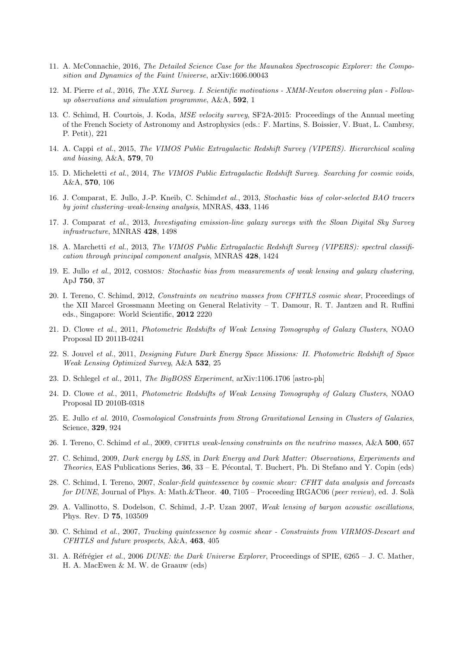- 11. A. McConnachie, 2016, The Detailed Science Case for the Maunakea Spectroscopic Explorer: the Composition and Dynamics of the Faint Universe, arXiv:1606.00043
- 12. M. Pierre et al., 2016, The XXL Survey. I. Scientific motivations XMM-Newton observing plan Followup observations and simulation programme, A&A, 592, 1
- 13. C. Schimd, H. Courtois, J. Koda, MSE velocity survey, SF2A-2015: Proceedings of the Annual meeting of the French Society of Astronomy and Astrophysics (eds.: F. Martins, S. Boissier, V. Buat, L. Cambrsy, P. Petit), 221
- 14. A. Cappi et al., 2015, The VIMOS Public Extragalactic Redshift Survey (VIPERS). Hierarchical scaling and biasing, A&A, 579, 70
- 15. D. Micheletti et al., 2014, The VIMOS Public Extragalactic Redshift Survey. Searching for cosmic voids, A&A, 570, 106
- 16. J. Comparat, E. Jullo, J.-P. Kneib, C. Schimdet al., 2013, Stochastic bias of color-selected BAO tracers by joint clustering–weak-lensing analysis, MNRAS, 433, 1146
- 17. J. Comparat et al., 2013, Investigating emission-line galaxy surveys with the Sloan Digital Sky Survey infrastructure, MNRAS 428, 1498
- 18. A. Marchetti et al., 2013, The VIMOS Public Extragalactic Redshift Survey (VIPERS): spectral classification through principal component analysis, MNRAS 428, 1424
- 19. E. Jullo et al., 2012, cosmos: Stochastic bias from measurements of weak lensing and galaxy clustering, ApJ 750, 37
- 20. I. Tereno, C. Schimd, 2012, Constraints on neutrino masses from CFHTLS cosmic shear, Proceedings of the XII Marcel Grossmann Meeting on General Relativity – T. Damour, R. T. Jantzen and R. Ruffini eds., Singapore: World Scientific, 2012 2220
- 21. D. Clowe et al., 2011, Photometric Redshifts of Weak Lensing Tomography of Galaxy Clusters, NOAO Proposal ID 2011B-0241
- 22. S. Jouvel et al., 2011, Designing Future Dark Energy Space Missions: II. Photometric Redshift of Space Weak Lensing Optimized Survey, A&A 532, 25
- 23. D. Schlegel et al., 2011, The BigBOSS Experiment, arXiv:1106.1706 [astro-ph]
- 24. D. Clowe et al., 2011, Photometric Redshifts of Weak Lensing Tomography of Galaxy Clusters, NOAO Proposal ID 2010B-0318
- 25. E. Jullo et al. 2010, Cosmological Constraints from Strong Gravitational Lensing in Clusters of Galaxies, Science, 329, 924
- 26. I. Tereno, C. Schimd et al., 2009, CFHTLS weak-lensing constraints on the neutrino masses, A&A 500, 657
- 27. C. Schimd, 2009, Dark energy by LSS, in Dark Energy and Dark Matter: Observations, Experiments and *Theories*, EAS Publications Series,  $36$ ,  $33 - E$ . Pécontal, T. Buchert, Ph. Di Stefano and Y. Copin (eds)
- 28. C. Schimd, I. Tereno, 2007, Scalar-field quintessence by cosmic shear: CFHT data analysis and forecasts for DUNE, Journal of Phys. A: Math. & Theor. 40, 7105 – Proceeding IRGAC06 (peer review), ed. J. Solà
- 29. A. Vallinotto, S. Dodelson, C. Schimd, J.-P. Uzan 2007, Weak lensing of baryon acoustic oscillations, Phys. Rev. D 75, 103509
- 30. C. Schimd et al., 2007, Tracking quintessence by cosmic shear Constraints from VIRMOS-Descart and CFHTLS and future prospects, A&A, 463, 405
- 31. A. Réfrégier et al., 2006 DUNE: the Dark Universe Explorer, Proceedings of SPIE, 6265 J. C. Mather, H. A. MacEwen & M. W. de Graauw (eds)